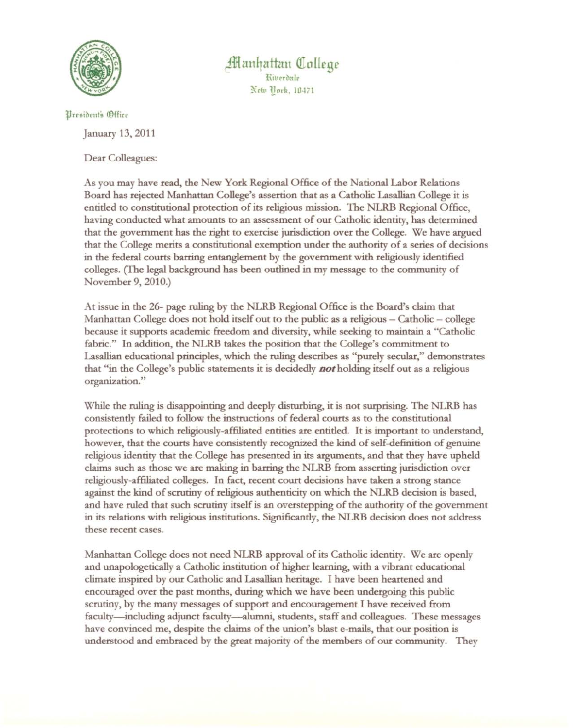

Manhattan College Kinerdale New Tork, 10471

Uresident's (Office

January 13,2011

Dear Colleagues:

As you may have read, the New York Regional Office of the National Labor Relations Board has rejected Manhattan College's assertion that as a Catholic Lasallian College it is entitled to constitutional protection of its religious mission. The NLRB Regional Office, having conducted what amounts to an assessment of our Catholic identity, has determined that the government has the right to exercise jurisdiction over the College. We have argued that the College merits a constitutional exemption under the authority of a series of decisions in the federal courts barring entanglement by the government with religiously identified colleges. (The legal background has been oudined in my message to the community of November 9,2010.)

At issue in the 26- page ruling by the NLRB Regional Office is the Board's claim that Manhattan College does not hold itself out to the public as a religious - Catholic - college because it supports academic freedom and diversity, while seeking to maintain a "Catholic fabric." In addition, the NLRB takes the position that the College's commitment to Lasallian educational principles, which the ruling describes as "purely secular," demonstrates that "in the College's public statements it is decidedly *Dot* holding itself out as a religious organization. "

While the ruling is disappointing and deeply disturbing, it is not surprising. The NLRB has consistendy failed to follow the instructions of federal courts as to the constitutional protections to which religiously-affiliated entities are entitled, It is important to understand, however, that the courts have consistently recognized the kind of self-definition of genuine religious identity that the College has presented in its arguments, and that they have upheld claims such as those we are making in barring the NLRB from asserting jurisdiction over religiously-affiliated colleges. In fact, recent court decisions have taken a strong stance against the kind of scrutiny of religious authenticity on which the NLRB decision is based, and have ruled that such scrutiny itself is an overstepping of the authority of the government in its relations with religious institutions. Significandy, the NLRB decision does not address these recent cases.

Manhattan College does not need NLRB approval of its Catholic identity. We are openly and unapologetically a Catholic institution of higher learning, with a vibrant educational climate inspired by our Catholic and Lasallian heritage. I have been heartened and encouraged over the past months, during which we have been undergoing this public scrutiny, by the many messages of support and encouragement I have received from faculty-including adjunct faculty--alumni, students, staff and colleagues. These messages have convinced me, despite the claims of the union's blast e-mails, that our position is understood and embraced by the great majority of the members of our community. They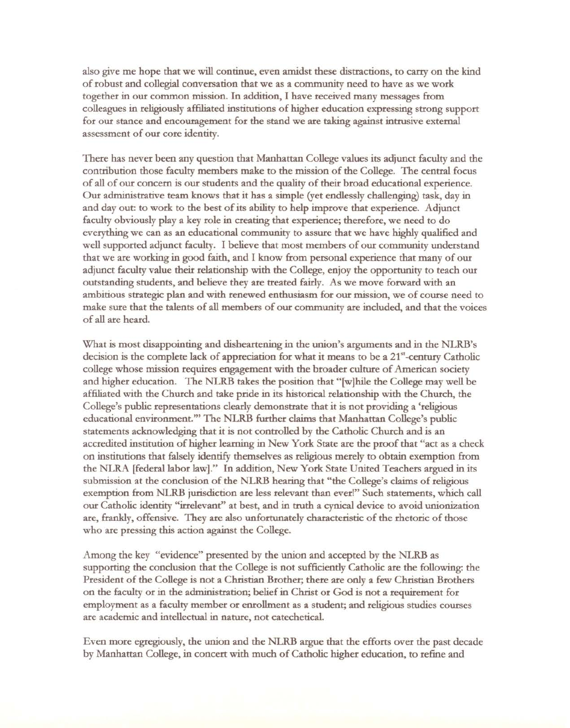also give me hope that we will continue, even amidst these distractions, to carry on the kind of robust and collegial conversation that we as a community need to have as we work together in our common mission. In addition, I have received many messages from colleagues in religiously affiliated institutions of higher education expressing strong support for our stance and encouragement for the stand we are taking against intrusive external assessment of our core identity.

There has never been any question that Manhattan College values its adjunct faculty and the contribution those faculty members make to the mission of the College. The central focus of all of our concern is our students and the quality of their broad educational experience. Our administrative team knows that it has a simple (yet endlessly challenging) task, day in and day out: to work to the best of its ability to help improve that experience. Adjunct faculty obviously playa key role in creating that experience; therefore, we need to do everything we can as an educational community to assure that we have highly qualified and well supported adjunct faculty. I believe that most members of our community understand that we are working in good faith, and I know from personal experience that many of our adjunct faculty value their relationship with the College, enjoy the opportunity to teach our outstanding students, and believe they are treated fairly. As we move forward with an ambitious strategic plan and with renewed enthusiasm for our mission, we of course need to make sure that the talents of all members of our community are included, and that the voices of all are heard.

What is most disappointing and disheartening in the union's arguments and in the NLRB's decision is the complete lack of appreciation for what it means to be a  $21<sup>st</sup>$ -century Catholic college whose mission requires engagement with the broader culture of American society and higher education. The NLRB takes the position that "[w]hile the College may well be affiliated with the Church and take pride in its historical relationship with the Church, the College's public representations clearly demonstrate that it is not providing a 'religious educational environment.'" The NLRB further claims that Manhattan College's public statements acknowledging that it is not controlled by the Catholic Church and is an accredited institution of higher learning in New York State are the proof that "act as a check on institutions that falsely identify themselves as religious merely to obtain exemption from the NLRA [federal labor law]." In addition, New York State United Teachers argued in its submission at the conclusion of the NLRB hearing that "the College's claims of religious exemption from NLRB jurisdiction are less relevant than ever!" Such statements, which call our Catholic identity "irrelevant" at best, and in truth a cynical device to avoid unionization are, frankly, offensive. They are also unfortunately characteristic of the rhetoric of those who are pressing this action against the College.

Among the key "evidence" presented by the union and accepted by the NLRB as supporting the conclusion that the College is not sufficiendy Catholic are the following: the President of the College is not a Christian Brother; there are only a few Christian Brothers on the faculty or in the administration; belief in Christ or God is not a requirement for employment as a faculty member or enrollment as a student; and religious studies courses are academic and intellectual in nature, not catechetical.

Even more egregiously, the union and the NLRB argue that the efforts over the past decade by Manhattan College, in concert with much of Catholic higher education, to refine and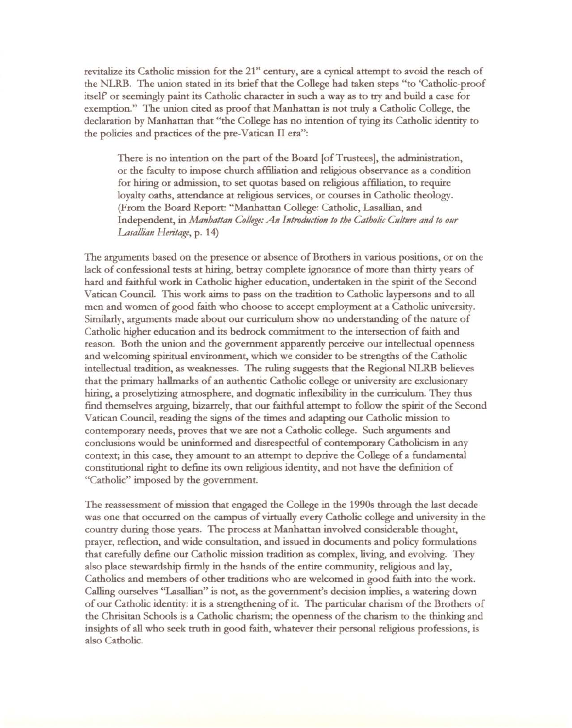revitalize its Catholic mission for the 21<sup>st</sup> century, are a cynical attempt to avoid the reach of the NLRB. The union stated in its brief that the College had taken steps "to 'Catholic-proof itself' or seemingly paint its Catholic character in such a way as to try and build a case for exemption." The union cited as proof that Manhattan is not truly a Catholic College, the declaration by Manhattan that "the College has no intention of tying its Catholic identity to the policies and practices of the pre-Vatican II era":

There is no intention on the part of the Board [of Trustees], the administration, or the faculty to impose church affiliation and religious observance as a condition for hiring or admission, to set quotas based on religious affiliation, to require loyalty oaths, attendance at religious services, or courses in Catholic theology. (From the Board Report: "Manhattan College: Catholic, Lasallian, and Independent, in *Manhattan College:An Introduction to the Catholic Culture and to our* Lasallian Heritage, p. 14)

The arguments based on the presence or absence of Brothers in various positions, or on the lack of confessional tests at hiring, betray complete ignorance of more than thirty years of hard and faithful work in Catholic higher education, undertaken in the spirit of the Second Vatican Council This work aims to pass on the tradition to Catholic laypersons and to all men and women of good faith who choose to accept employment at a Catholic university. Similarly, arguments made about our curriculum show no understanding of the nature of Catholic higher education and its bedrock commitment to the intersection of faith and reason. Both the union and the government apparently perceive our intellectual openness and welcoming spiritual environment, which we consider to be strengths of the Catholic intellectual tradition, as weaknesses. The ruling suggests that the Regional NLRB believes that the primary hallmarks of an authentic Catholic college or university are exclusionary hiring, a proselytizing atmosphere, and dogmatic inflexibility in the curriculum. They thus find themselves arguing, bizarrely, that our faithful attempt to follow the spirit of the Second Vatican Council, reading the signs of the times and adapting our Catholic mission to contemporary needs, proves that we are not a Catholic college. Such arguments and conclusions would be uninformed and disrespectful of contemporary Catholicism in any context; in this case, they amount to an attempt to deprive the College of a fundamental constitutional right to define its own religious identity, and not have the definition of "Catholic" imposed by the government.

The reassessment of mission that engaged the College in the 1990s through the last decade was one that occurred on the campus of virtually every Catholic college and university in the country during those years. The process at Manhattan involved considerable thought, prayer, reflection, and wide consultation, and issued in documents and policy formulations that carefully define our Catholic mission tradition as complex, living, and evolving. They also place stewardship firmly in the hands of the entire community, religious and lay, Catholics and members of other traditions who are welcomed in good faith into the work. Calling ourselves "Lasallian" is not, as the government's decision implies, a watering down of our Catholic identity: it is a strengthening of it. The particular charism of the Brothers of the Chrisitan Schools is a Catholic charism; the openness of the charism to the thinking and insights of all who seek truth in good faith, whatever their personal religious professions, is also Catholic.